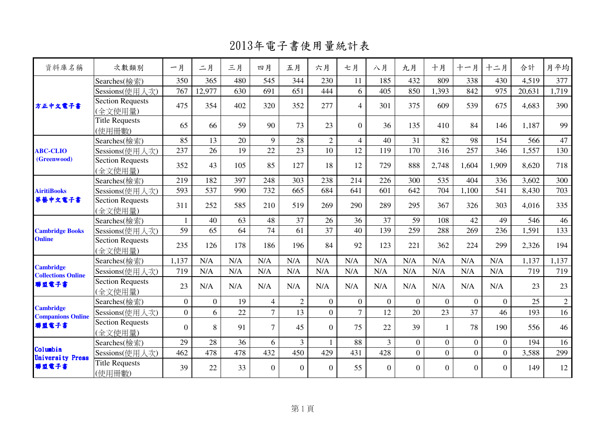2013年電子書使用量統計表

| 資料庫名稱                                         | 次數類別                               | 一月             | 二月             | 三月  | 四月             | 五月             | 六月             | 七月             | 八月             | 九月             | 十月             | 十一月            | 十二月            | 合計     | 月平均            |
|-----------------------------------------------|------------------------------------|----------------|----------------|-----|----------------|----------------|----------------|----------------|----------------|----------------|----------------|----------------|----------------|--------|----------------|
|                                               | Searches(檢索)                       | 350            | 365            | 480 | 545            | 344            | 230            | 11             | 185            | 432            | 809            | 338            | 430            | 4,519  | 377            |
|                                               | Sessions(使用人次)                     | 767            | 12,977         | 630 | 691            | 651            | 444            | 6              | 405            | 850            | 1,393          | 842            | 975            | 20,631 | 1,719          |
| 方正中文電子書                                       | <b>Section Requests</b><br>(全文使用量) | 475            | 354            | 402 | 320            | 352            | 277            | $\overline{4}$ | 301            | 375            | 609            | 539            | 675            | 4,683  | 390            |
|                                               | <b>Title Requests</b><br>(使用冊數)    | 65             | 66             | 59  | 90             | 73             | 23             | $\theta$       | 36             | 135            | 410            | 84             | 146            | 1,187  | 99             |
|                                               | Searches(檢索)                       | 85             | 13             | 20  | 9              | 28             | $\overline{2}$ | $\overline{4}$ | 40             | 31             | 82             | 98             | 154            | 566    | 47             |
| <b>ABC-CLIO</b>                               | Sessions(使用人次)                     | 237            | 26             | 19  | 22             | 23             | 10             | 12             | 119            | 170            | 316            | 257            | 346            | 1,557  | 130            |
| (Greenwood)                                   | <b>Section Requests</b><br>(全文使用量) | 352            | 43             | 105 | 85             | 127            | 18             | 12             | 729            | 888            | 2,748          | 1,604          | 1,909          | 8,620  | 718            |
| <b>AiritiBooks</b><br>華藝中文電子書                 | Searches(檢索)                       | 219            | 182            | 397 | 248            | 303            | 238            | 214            | 226            | 300            | 535            | 404            | 336            | 3,602  | 300            |
|                                               | Sessions(使用人次)                     | 593            | 537            | 990 | 732            | 665            | 684            | 641            | 601            | 642            | 704            | 1,100          | 541            | 8,430  | 703            |
|                                               | <b>Section Requests</b><br>(全文使用量) | 311            | 252            | 585 | 210            | 519            | 269            | 290            | 289            | 295            | 367            | 326            | 303            | 4,016  | 335            |
|                                               | Searches(檢索)                       | $\mathbf{1}$   | 40             | 63  | 48             | 37             | 26             | 36             | 37             | 59             | 108            | 42             | 49             | 546    | 46             |
| <b>Cambridge Books</b>                        | Sessions(使用人次)                     | 59             | 65             | 64  | 74             | 61             | 37             | 40             | 139            | 259            | 288            | 269            | 236            | 1,591  | 133            |
| <b>Online</b>                                 | Section Requests<br>(全文使用量)        | 235            | 126            | 178 | 186            | 196            | 84             | 92             | 123            | 221            | 362            | 224            | 299            | 2,326  | 194            |
|                                               | Searches(檢索)                       | 1,137          | N/A            | N/A | N/A            | N/A            | N/A            | N/A            | N/A            | N/A            | N/A            | N/A            | N/A            | 1,137  | 1,137          |
| <b>Cambridge</b><br><b>Collections Online</b> | Sessions(使用人次)                     | 719            | N/A            | N/A | N/A            | N/A            | N/A            | N/A            | N/A            | N/A            | N/A            | N/A            | N/A            | 719    | 719            |
| 聯盟電子書                                         | Section Requests<br>(全文使用量)        | 23             | N/A            | N/A | N/A            | N/A            | N/A            | N/A            | N/A            | N/A            | N/A            | N/A            | N/A            | 23     | 23             |
|                                               | Searches(檢索)                       | $\overline{0}$ | $\overline{0}$ | 19  | $\overline{4}$ | $\overline{2}$ | $\overline{0}$ | $\overline{0}$ | $\theta$       | $\Omega$       | $\overline{0}$ | $\overline{0}$ | $\overline{0}$ | 25     | $\overline{2}$ |
| <b>Cambridge</b><br><b>Companions Online</b>  | Sessions(使用人次)                     | $\overline{0}$ | 6              | 22  | $\overline{7}$ | 13             | $\overline{0}$ | 7              | 12             | 20             | 23             | 37             | 46             | 193    | 16             |
| 聯盟電子書                                         | Section Requests<br>(全文使用量)        | $\Omega$       | 8              | 91  | $\overline{7}$ | 45             | $\Omega$       | 75             | 22             | 39             | $\mathbf{1}$   | 78             | 190            | 556    | 46             |
|                                               | Searches(檢索)                       | 29             | 28             | 36  | 6              | $\overline{3}$ |                | 88             | 3              | $\overline{0}$ | $\overline{0}$ | $\overline{0}$ | $\overline{0}$ | 194    | 16             |
| Columbia                                      | Sessions(使用人次)                     | 462            | 478            | 478 | 432            | 450            | 429            | 431            | 428            | $\overline{0}$ | $\overline{0}$ | $\overline{0}$ | $\overline{0}$ | 3,588  | 299            |
| <b>University Press</b><br>聯盟電子書              | <b>Title Requests</b><br>(使用冊數)    | 39             | 22             | 33  | $\overline{0}$ | $\overline{0}$ | $\overline{0}$ | 55             | $\overline{0}$ | $\overline{0}$ | $\overline{0}$ | $\overline{0}$ | $\Omega$       | 149    | 12             |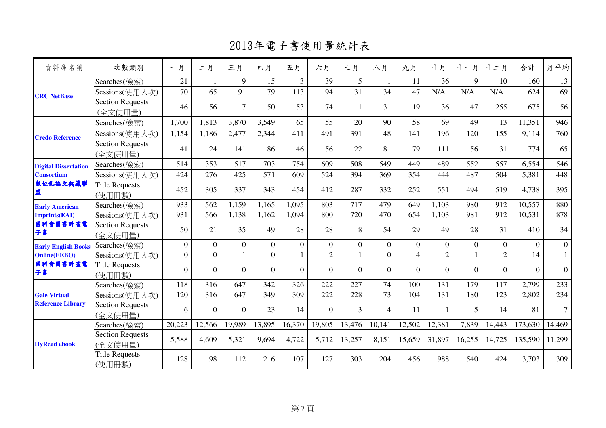2013年電子書使用量統計表

| 資料庫名稱                       | 次數類別                               | 一月             | 二月             | 三月             | 四月             | 五月             | 六月             | 七月           | 八月             | 九月             | 十月             | 十一月         | 十二月            | 合計             | 月平均            |
|-----------------------------|------------------------------------|----------------|----------------|----------------|----------------|----------------|----------------|--------------|----------------|----------------|----------------|-------------|----------------|----------------|----------------|
|                             | Searches(檢索)                       | 21             |                | 9              | 15             | $\overline{3}$ | 39             | 5            |                | 11             | 36             | $\mathbf Q$ | 10             | 160            | 13             |
| <b>CRC</b> NetBase          | Sessions(使用人次)                     | 70             | 65             | 91             | 79             | 113            | 94             | 31           | 34             | 47             | N/A            | N/A         | N/A            | 624            | 69             |
|                             | Section Requests<br>(全文使用量)        | 46             | 56             | $\overline{7}$ | 50             | 53             | 74             | $\mathbf{1}$ | 31             | 19             | 36             | 47          | 255            | 675            | 56             |
|                             | Searches(檢索)                       | 1,700          | 1,813          | 3,870          | 3,549          | 65             | 55             | 20           | 90             | 58             | 69             | 49          | 13             | 11,351         | 946            |
| <b>Credo Reference</b>      | Sessions(使用人次)                     | 1,154          | 1,186          | 2,477          | 2,344          | 411            | 491            | 391          | 48             | 141            | 196            | 120         | 155            | 9,114          | 760            |
|                             | Section Requests<br>(全文使用量)        | 41             | 24             | 141            | 86             | 46             | 56             | 22           | 81             | 79             | 111            | 56          | 31             | 774            | 65             |
| <b>Digital Dissertation</b> | Searches(檢索)                       | 514            | 353            | 517            | 703            | 754            | 609            | 508          | 549            | 449            | 489            | 552         | 557            | 6,554          | 546            |
| <b>Consortium</b>           | Sessions(使用人次)                     | 424            | 276            | 425            | 571            | 609            | 524            | 394          | 369            | 354            | 444            | 487         | 504            | 5,381          | 448            |
| 敦位化論文典藏聯<br>盟               | Title Requests<br>(使用冊數)           | 452            | 305            | 337            | 343            | 454            | 412            | 287          | 332            | 252            | 551            | 494         | 519            | 4,738          | 395            |
| <b>Early American</b>       | Searches(檢索)                       | 933            | 562            | 1,159          | 1,165          | 1,095          | 803            | 717          | 479            | 649            | 1,103          | 980         | 912            | 10,557         | 880            |
| <b>Imprints(EAI)</b>        | Sessions(使用人次)                     | 931            | 566            | 1,138          | 1,162          | 1,094          | 800            | 720          | 470            | 654            | 1,103          | 981         | 912            | 10,531         | 878            |
| 國科會圖書計畫電<br>子書              | <b>Section Requests</b><br>(全文使用量) | 50             | 21             | 35             | 49             | 28             | 28             | 8            | 54             | 29             | 49             | 28          | 31             | 410            | 34             |
| <b>Early English Books</b>  | Searches(檢索)                       | $\overline{0}$ | $\overline{0}$ | $\overline{0}$ | $\overline{0}$ | $\Omega$       | $\overline{0}$ | $\Omega$     | $\overline{0}$ | $\overline{0}$ | $\Omega$       | $\Omega$    | $\Omega$       | $\overline{0}$ | $\mathbf{0}$   |
| <b>Online(EEBO)</b>         | Sessions(使用人次)                     | $\overline{0}$ | $\overline{0}$ |                | $\overline{0}$ |                | $\overline{2}$ |              | $\overline{0}$ | $\overline{4}$ | $\overline{2}$ |             | $\overline{2}$ | 14             | $\overline{1}$ |
| 國科會圖書計畫電<br>子書              | Title Requests<br>(使用冊數)           | $\overline{0}$ | $\overline{0}$ | $\overline{0}$ | $\Omega$       | $\Omega$       | $\Omega$       | $\Omega$     | $\Omega$       | $\Omega$       | $\Omega$       | $\Omega$    | $\Omega$       | $\Omega$       | $\overline{0}$ |
|                             | Searches(檢索)                       | 118            | 316            | 647            | 342            | 326            | 222            | 227          | 74             | 100            | 131            | 179         | 117            | 2,799          | 233            |
| <b>Gale Virtual</b>         | Sessions(使用人次)                     | 120            | 316            | 647            | 349            | 309            | 222            | 228          | 73             | 104            | 131            | 180         | 123            | 2,802          | 234            |
| <b>Reference Library</b>    | Section Requests<br>(全文使用量)        | 6              | $\Omega$       | $\Omega$       | 23             | 14             | $\Omega$       | 3            | 4              | 11             |                | 5           | 14             | 81             | $\tau$         |
|                             | Searches(檢索)                       | 20,223         | 12,566         | 19,989         | 13,895         | 16,370         | 19,805         | 13,476       | 10,141         | 12,502         | 12,381         | 7,839       | 14,443         | 173,630        | 14,469         |
| <b>HyRead ebook</b>         | <b>Section Requests</b><br>(全文使用量) | 5,588          | 4,609          | 5,321          | 9,694          | 4,722          | 5,712          | 13,257       | 8,151          | 15,659         | 31,897         | 16,255      | 14,725         | 135,590        | 11,299         |
|                             | <b>Title Requests</b><br>(使用冊數)    | 128            | 98             | 112            | 216            | 107            | 127            | 303          | 204            | 456            | 988            | 540         | 424            | 3,703          | 309            |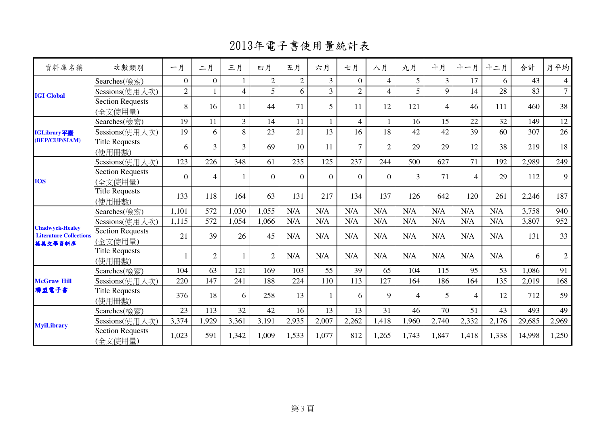2013年電子書使用量統計表

| 資料庫名稱                                                              | 次數類別                               | 一月             | 二月             | 三月             | 四月             | 五月             | 六月             | 七月             | 八月             | 九月    | 十月             | 十一月            | 十二月   | 合計     | 月平均            |
|--------------------------------------------------------------------|------------------------------------|----------------|----------------|----------------|----------------|----------------|----------------|----------------|----------------|-------|----------------|----------------|-------|--------|----------------|
|                                                                    | Searches(檢索)                       | $\overline{0}$ | $\overline{0}$ |                | $\overline{2}$ | $\overline{2}$ | $\overline{3}$ | $\overline{0}$ | 4              | 5     | $\overline{3}$ | 17             | 6     | 43     | $\overline{4}$ |
| <b>IGI Global</b>                                                  | Sessions(使用人次)                     | $\overline{2}$ |                | $\overline{4}$ | 5              | 6              | $\overline{3}$ | $\overline{2}$ | 4              | 5     | 9              | 14             | 28    | 83     | $\overline{7}$ |
|                                                                    | <b>Section Requests</b><br>(全文使用量) | 8              | 16             | 11             | 44             | 71             | 5              | 11             | 12             | 121   | $\overline{4}$ | 46             | 111   | 460    | 38             |
|                                                                    | Searches(檢索)                       | 19             | 11             | 3              | 14             | 11             | $\mathbf{1}$   | $\overline{4}$ | 1              | 16    | 15             | 22             | 32    | 149    | 12             |
| IGLibrary平臺                                                        | Sessions(使用人次)                     | 19             | 6              | 8              | 23             | 21             | 13             | 16             | 18             | 42    | 42             | 39             | 60    | 307    | 26             |
| (BEP/CUP/SIAM)                                                     | <b>Title Requests</b><br>(使用冊數)    | 6              | 3              | $\overline{3}$ | 69             | 10             | 11             | $\overline{7}$ | $\overline{2}$ | 29    | 29             | 12             | 38    | 219    | 18             |
| <b>IOS</b>                                                         | Sessions(使用人次)                     | 123            | 226            | 348            | 61             | 235            | 125            | 237            | 244            | 500   | 627            | 71             | 192   | 2,989  | 249            |
|                                                                    | Section Requests<br>(全文使用量)        | $\overline{0}$ | 4              |                | $\Omega$       | $\overline{0}$ | $\theta$       | $\Omega$       | $\Omega$       | 3     | 71             | $\overline{4}$ | 29    | 112    | 9              |
|                                                                    | <b>Title Requests</b><br>(使用冊數)    | 133            | 118            | 164            | 63             | 131            | 217            | 134            | 137            | 126   | 642            | 120            | 261   | 2,246  | 187            |
|                                                                    | Searches(檢索)                       | 1,101          | 572            | 1,030          | 1,055          | N/A            | N/A            | N/A            | N/A            | N/A   | N/A            | N/A            | N/A   | 3,758  | 940            |
|                                                                    | Sessions(使用人次)                     | 1,115          | 572            | 1,054          | 1,066          | N/A            | N/A            | N/A            | N/A            | N/A   | N/A            | N/A            | N/A   | 3,807  | 952            |
| <b>Chadwyck-Healey</b><br><b>Literature Collections</b><br>英美文學資料庫 | <b>Section Requests</b><br>(全文使用量) | 21             | 39             | 26             | 45             | N/A            | N/A            | N/A            | N/A            | N/A   | N/A            | N/A            | N/A   | 131    | 33             |
|                                                                    | <b>Title Requests</b><br>(使用冊數)    |                | $\overline{2}$ |                | $\overline{2}$ | N/A            | N/A            | N/A            | N/A            | N/A   | N/A            | N/A            | N/A   | 6      | $\overline{2}$ |
|                                                                    | Searches(檢索)                       | 104            | 63             | 121            | 169            | 103            | 55             | 39             | 65             | 104   | 115            | 95             | 53    | 1,086  | 91             |
| <b>McGraw Hill</b>                                                 | Sessions(使用人次)                     | 220            | 147            | 241            | 188            | 224            | 110            | 113            | 127            | 164   | 186            | 164            | 135   | 2,019  | 168            |
| 聯盟電子書                                                              | <b>Title Requests</b><br>(使用冊數)    | 376            | 18             | 6              | 258            | 13             | $\mathbf{1}$   | 6              | 9              | 4     | 5              | $\overline{4}$ | 12    | 712    | 59             |
|                                                                    | Searches(檢索)                       | 23             | 113            | 32             | 42             | 16             | 13             | 13             | 31             | 46    | 70             | 51             | 43    | 493    | 49             |
| <b>MyiLibrary</b>                                                  | Sessions(使用人次)                     | 3,374          | 1,929          | 3,361          | 3,191          | 2,935          | 2,007          | 2,262          | 1,418          | 1,960 | 2,740          | 2,332          | 2,176 | 29,685 | 2,969          |
|                                                                    | <b>Section Requests</b><br>(全文使用量) | 1,023          | 591            | 1,342          | 1,009          | 1,533          | 1,077          | 812            | 1,265          | 1,743 | 1,847          | 1,418          | 1,338 | 14,998 | 1,250          |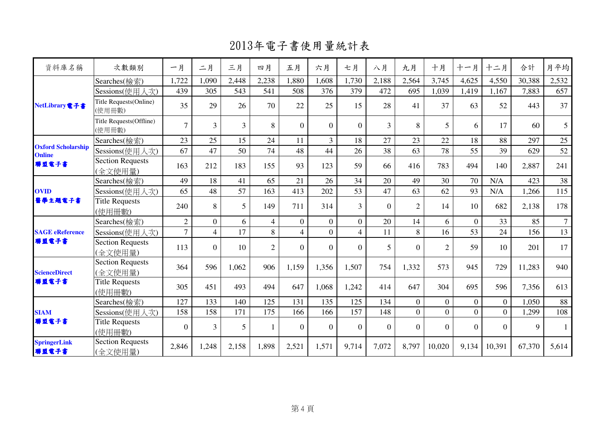2013年電子書使用量統計表

| 資料庫名稱                                      | 次數類別                               | 一月             | 二月             | 三月    | 四月             | 五月             | 六月             | 七月             | 八月             | 九月             | 十月             | 十一月            | 十二月            | 合計     | 月平均            |
|--------------------------------------------|------------------------------------|----------------|----------------|-------|----------------|----------------|----------------|----------------|----------------|----------------|----------------|----------------|----------------|--------|----------------|
|                                            | Searches(檢索)                       | 1,722          | 1,090          | 2,448 | 2,238          | 1,880          | 1,608          | 1,730          | 2,188          | 2,564          | 3,745          | 4,625          | 4,550          | 30,388 | 2,532          |
|                                            | Sessions(使用人次)                     | 439            | 305            | 543   | 541            | 508            | 376            | 379            | 472            | 695            | 1,039          | 1,419          | 1,167          | 7,883  | 657            |
| NetLibrary電子書                              | Title Requests(Online)<br>(使用冊數)   | 35             | 29             | 26    | 70             | 22             | 25             | 15             | 28             | 41             | 37             | 63             | 52             | 443    | 37             |
|                                            | Title Requests(Offline)<br>(使用冊數)  | $\overline{7}$ | $\overline{3}$ | 3     | 8              | $\Omega$       | $\theta$       | $\overline{0}$ | 3              | 8              | $\overline{5}$ | 6              | 17             | 60     | 5              |
|                                            | Searches(檢索)                       | 23             | 25             | 15    | 24             | 11             | 3              | 18             | 27             | 23             | 22             | 18             | 88             | 297    | 25             |
| <b>Oxford Scholarship</b><br><b>Online</b> | Sessions(使用人次)                     | 67             | 47             | 50    | 74             | 48             | 44             | 26             | 38             | 63             | 78             | 55             | 39             | 629    | 52             |
| 聯盟電子書                                      | <b>Section Requests</b><br>(全文使用量) | 163            | 212            | 183   | 155            | 93             | 123            | 59             | 66             | 416            | 783            | 494            | 140            | 2,887  | 241            |
| <b>OVID</b><br>醫學主題電子書                     | Searches(檢索)                       | 49             | 18             | 41    | 65             | 21             | 26             | 34             | 20             | 49             | 30             | 70             | N/A            | 423    | 38             |
|                                            | Sessions(使用人次)                     | 65             | 48             | 57    | 163            | 413            | 202            | 53             | 47             | 63             | 62             | 93             | N/A            | 1,266  | 115            |
|                                            | <b>Title Requests</b><br>(使用冊數)    | 240            | 8              | 5     | 149            | 711            | 314            | 3              | $\Omega$       | $\overline{2}$ | 14             | 10             | 682            | 2,138  | 178            |
|                                            | Searches(檢索)                       | $\overline{2}$ | $\overline{0}$ | 6     | $\overline{4}$ | $\overline{0}$ | $\overline{0}$ | $\overline{0}$ | 20             | 14             | 6              | $\overline{0}$ | 33             | 85     | $\overline{7}$ |
| <b>SAGE</b> eReference                     | Sessions(使用人次)                     | $\overline{7}$ | $\overline{4}$ | 17    | 8              | $\overline{4}$ | $\overline{0}$ | $\overline{4}$ | 11             | 8              | 16             | 53             | 24             | 156    | 13             |
| 聯盟電子書                                      | Section Requests<br>(全文使用量)        | 113            | $\overline{0}$ | 10    | $\overline{2}$ | $\Omega$       | $\overline{0}$ | $\Omega$       | 5              | $\Omega$       | $\overline{2}$ | 59             | 10             | 201    | 17             |
| <b>ScienceDirect</b>                       | <b>Section Requests</b><br>(全文使用量) | 364            | 596            | 1,062 | 906            | 1,159          | 1,356          | 1,507          | 754            | 1,332          | 573            | 945            | 729            | 11,283 | 940            |
| 聯盟電子書                                      | <b>Title Requests</b><br>(使用冊數)    | 305            | 451            | 493   | 494            | 647            | 1,068          | 1,242          | 414            | 647            | 304            | 695            | 596            | 7,356  | 613            |
|                                            | Searches(檢索)                       | 127            | 133            | 140   | 125            | 131            | 135            | 125            | 134            | $\overline{0}$ | $\overline{0}$ | $\overline{0}$ | $\overline{0}$ | 1,050  | 88             |
| <b>SIAM</b><br>聯盟電子書                       | Sessions(使用人次)                     | 158            | 158            | 171   | 175            | 166            | 166            | 157            | 148            | $\Omega$       | $\overline{0}$ | $\overline{0}$ | $\Omega$       | 1,299  | 108            |
|                                            | <b>Title Requests</b><br>(使用冊數)    | $\overline{0}$ | 3              | 5     |                | $\overline{0}$ | $\overline{0}$ | $\overline{0}$ | $\overline{0}$ | $\overline{0}$ | $\overline{0}$ | $\overline{0}$ | $\overline{0}$ | 9      |                |
| <b>SpringerLink</b><br>聯盟電子書               | Section Requests<br>(全文使用量)        | 2,846          | 1,248          | 2,158 | 1,898          | 2,521          | 1,571          | 9,714          | 7,072          | 8,797          | 10,020         | 9,134          | 10,391         | 67,370 | 5,614          |